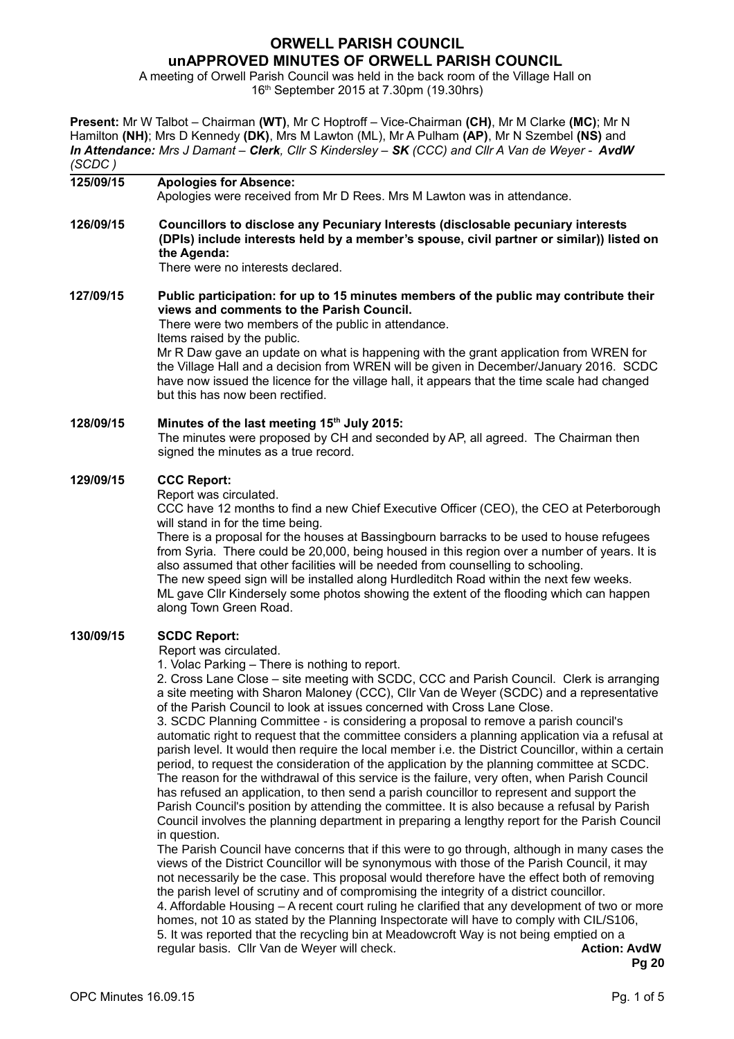# **ORWELL PARISH COUNCIL unAPPROVED MINUTES OF ORWELL PARISH COUNCIL**

A meeting of Orwell Parish Council was held in the back room of the Village Hall on 16th September 2015 at 7.30pm (19.30hrs)

**Present:** Mr W Talbot – Chairman **(WT)**, Mr C Hoptroff – Vice-Chairman **(CH)**, Mr M Clarke **(MC)**; Mr N Hamilton **(NH)**; Mrs D Kennedy **(DK)**, Mrs M Lawton (ML), Mr A Pulham **(AP)**, Mr N Szembel **(NS)** and *In Attendance: Mrs J Damant – Clerk, Cllr S Kindersley – SK (CCC) and Cllr A Van de Weyer - AvdW (SCDC )*

| 125/09/15 | <b>Apologies for Absence:</b><br>Apologies were received from Mr D Rees. Mrs M Lawton was in attendance.                                                                                                                                                                                                                                                                                                                                                                                                                                        |  |  |  |  |
|-----------|-------------------------------------------------------------------------------------------------------------------------------------------------------------------------------------------------------------------------------------------------------------------------------------------------------------------------------------------------------------------------------------------------------------------------------------------------------------------------------------------------------------------------------------------------|--|--|--|--|
|           |                                                                                                                                                                                                                                                                                                                                                                                                                                                                                                                                                 |  |  |  |  |
| 126/09/15 | Councillors to disclose any Pecuniary Interests (disclosable pecuniary interests<br>(DPIs) include interests held by a member's spouse, civil partner or similar)) listed on<br>the Agenda:<br>There were no interests declared.                                                                                                                                                                                                                                                                                                                |  |  |  |  |
| 127/09/15 | Public participation: for up to 15 minutes members of the public may contribute their<br>views and comments to the Parish Council.<br>There were two members of the public in attendance.<br>Items raised by the public.<br>Mr R Daw gave an update on what is happening with the grant application from WREN for<br>the Village Hall and a decision from WREN will be given in December/January 2016. SCDC<br>have now issued the licence for the village hall, it appears that the time scale had changed<br>but this has now been rectified. |  |  |  |  |
| 128/09/15 | Minutes of the last meeting 15 <sup>th</sup> July 2015:<br>The minutes were proposed by CH and seconded by AP, all agreed. The Chairman then<br>signed the minutes as a true record.                                                                                                                                                                                                                                                                                                                                                            |  |  |  |  |
| 129/09/15 | <b>CCC Report:</b><br>Report was circulated.<br>CCC have 12 months to find a new Chief Executive Officer (CEO), the CEO at Peterborough<br>will stand in for the time being.<br>There is a proposal for the houses at Rassingbourn barracks to be used to house refugees                                                                                                                                                                                                                                                                        |  |  |  |  |

There is a proposal for the houses at Bassingbourn barracks to be used to house refugees from Syria. There could be 20,000, being housed in this region over a number of years. It is also assumed that other facilities will be needed from counselling to schooling. The new speed sign will be installed along Hurdleditch Road within the next few weeks. ML gave Cllr Kindersely some photos showing the extent of the flooding which can happen along Town Green Road.

# **130/09/15 SCDC Report:**

Report was circulated.

1. Volac Parking – There is nothing to report.

2. Cross Lane Close – site meeting with SCDC, CCC and Parish Council. Clerk is arranging a site meeting with Sharon Maloney (CCC), Cllr Van de Weyer (SCDC) and a representative of the Parish Council to look at issues concerned with Cross Lane Close.

3. SCDC Planning Committee - is considering a proposal to remove a parish council's automatic right to request that the committee considers a planning application via a refusal at parish level. It would then require the local member i.e. the District Councillor, within a certain period, to request the consideration of the application by the planning committee at SCDC. The reason for the withdrawal of this service is the failure, very often, when Parish Council has refused an application, to then send a parish councillor to represent and support the Parish Council's position by attending the committee. It is also because a refusal by Parish Council involves the planning department in preparing a lengthy report for the Parish Council in question.

The Parish Council have concerns that if this were to go through, although in many cases the views of the District Councillor will be synonymous with those of the Parish Council, it may not necessarily be the case. This proposal would therefore have the effect both of removing the parish level of scrutiny and of compromising the integrity of a district councillor. 4. Affordable Housing – A recent court ruling he clarified that any development of two or more homes, not 10 as stated by the Planning Inspectorate will have to comply with CIL/S106, 5. It was reported that the recycling bin at Meadowcroft Way is not being emptied on a regular basis. Cllr Van de Weyer will check. **Action: AvdW**

**Pg 20**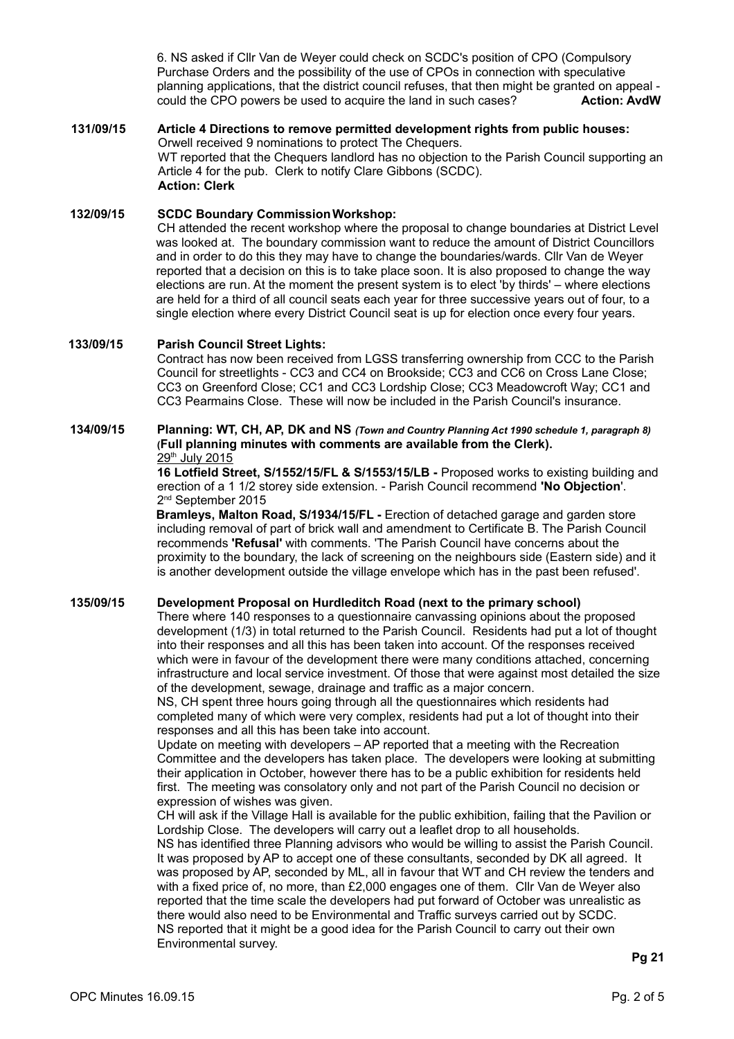6. NS asked if Cllr Van de Weyer could check on SCDC's position of CPO (Compulsory Purchase Orders and the possibility of the use of CPOs in connection with speculative planning applications, that the district council refuses, that then might be granted on appeal could the CPO powers be used to acquire the land in such cases? **Action: AvdW**

### **131/09/15 Article 4 Directions to remove permitted development rights from public houses:** Orwell received 9 nominations to protect The Chequers. WT reported that the Chequers landlord has no objection to the Parish Council supporting an Article 4 for the pub. Clerk to notify Clare Gibbons (SCDC). **Action: Clerk**

## **132/09/15 SCDC Boundary CommissionWorkshop:**

CH attended the recent workshop where the proposal to change boundaries at District Level was looked at. The boundary commission want to reduce the amount of District Councillors and in order to do this they may have to change the boundaries/wards. Cllr Van de Weyer reported that a decision on this is to take place soon. It is also proposed to change the way elections are run. At the moment the present system is to elect 'by thirds' – where elections are held for a third of all council seats each year for three successive years out of four, to a single election where every District Council seat is up for election once every four years.

### **133/09/15 Parish Council Street Lights:**

Contract has now been received from LGSS transferring ownership from CCC to the Parish Council for streetlights - CC3 and CC4 on Brookside; CC3 and CC6 on Cross Lane Close; CC3 on Greenford Close; CC1 and CC3 Lordship Close; CC3 Meadowcroft Way; CC1 and CC3 Pearmains Close. These will now be included in the Parish Council's insurance.

### **134/09/15 Planning: WT, CH, AP, DK and NS** *(Town and Country Planning Act 1990 schedule 1, paragraph 8)* **(Full planning minutes with comments are available from the Clerk).**  29<sup>th</sup> July 2015

**16 Lotfield Street, S/1552/15/FL & S/1553/15/LB -** Proposed works to existing building and erection of a 1 1/2 storey side extension. - Parish Council recommend **'No Objection**'. 2<sup>nd</sup> September 2015

**Bramleys, Malton Road, S/1934/15/FL -** Erection of detached garage and garden store including removal of part of brick wall and amendment to Certificate B. The Parish Council recommends **'Refusal'** with comments. 'The Parish Council have concerns about the proximity to the boundary, the lack of screening on the neighbours side (Eastern side) and it is another development outside the village envelope which has in the past been refused'.

## **135/09/15 Development Proposal on Hurdleditch Road (next to the primary school)**

There where 140 responses to a questionnaire canvassing opinions about the proposed development (1/3) in total returned to the Parish Council. Residents had put a lot of thought into their responses and all this has been taken into account. Of the responses received which were in favour of the development there were many conditions attached, concerning infrastructure and local service investment. Of those that were against most detailed the size of the development, sewage, drainage and traffic as a major concern.

NS, CH spent three hours going through all the questionnaires which residents had completed many of which were very complex, residents had put a lot of thought into their responses and all this has been take into account.

Update on meeting with developers – AP reported that a meeting with the Recreation Committee and the developers has taken place. The developers were looking at submitting their application in October, however there has to be a public exhibition for residents held first. The meeting was consolatory only and not part of the Parish Council no decision or expression of wishes was given.

CH will ask if the Village Hall is available for the public exhibition, failing that the Pavilion or Lordship Close. The developers will carry out a leaflet drop to all households.

NS has identified three Planning advisors who would be willing to assist the Parish Council. It was proposed by AP to accept one of these consultants, seconded by DK all agreed. It was proposed by AP, seconded by ML, all in favour that WT and CH review the tenders and with a fixed price of, no more, than £2,000 engages one of them. Cllr Van de Weyer also reported that the time scale the developers had put forward of October was unrealistic as there would also need to be Environmental and Traffic surveys carried out by SCDC. NS reported that it might be a good idea for the Parish Council to carry out their own Environmental survey.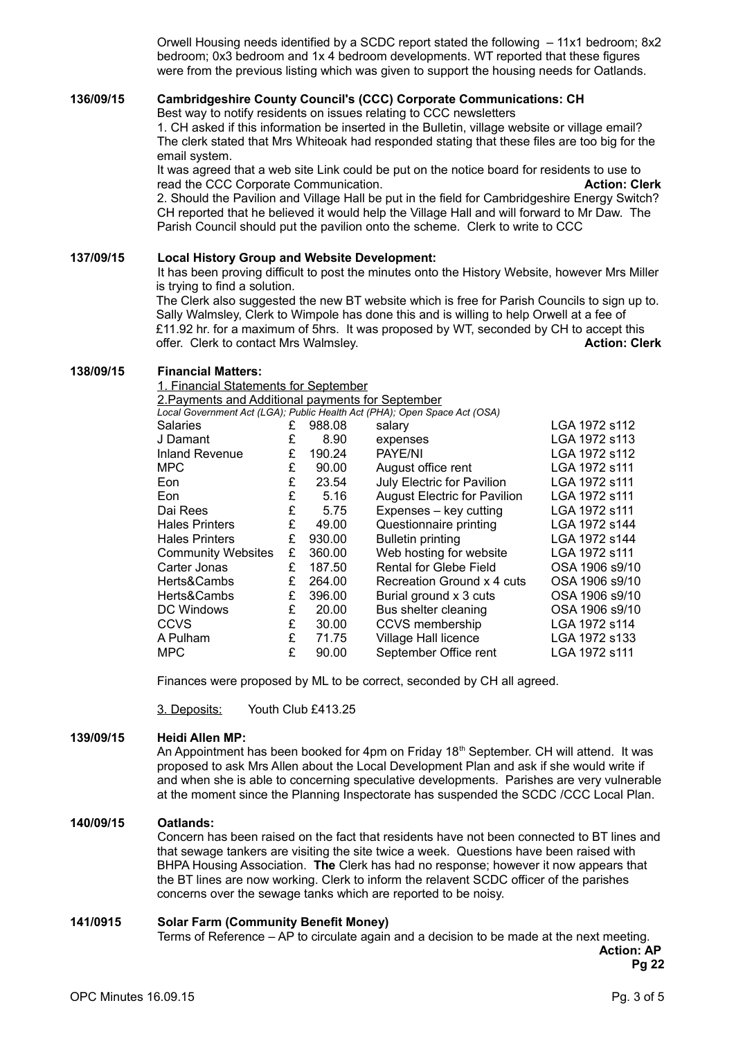Orwell Housing needs identified by a SCDC report stated the following – 11x1 bedroom; 8x2 bedroom; 0x3 bedroom and 1x 4 bedroom developments. WT reported that these figures were from the previous listing which was given to support the housing needs for Oatlands.

## **136/09/15 Cambridgeshire County Council's (CCC) Corporate Communications: CH**

Best way to notify residents on issues relating to CCC newsletters

1. CH asked if this information be inserted in the Bulletin, village website or village email? The clerk stated that Mrs Whiteoak had responded stating that these files are too big for the email system.

It was agreed that a web site Link could be put on the notice board for residents to use to read the CCC Corporate Communication. **Action: Clerk** 2. Should the Pavilion and Village Hall be put in the field for Cambridgeshire Energy Switch? CH reported that he believed it would help the Village Hall and will forward to Mr Daw. The Parish Council should put the pavilion onto the scheme. Clerk to write to CCC

# **137/09/15 Local History Group and Website Development:**

It has been proving difficult to post the minutes onto the History Website, however Mrs Miller is trying to find a solution.

The Clerk also suggested the new BT website which is free for Parish Councils to sign up to. Sally Walmsley, Clerk to Wimpole has done this and is willing to help Orwell at a fee of £11.92 hr. for a maximum of 5hrs. It was proposed by WT, seconded by CH to accept this offer. Clerk to contact Mrs Walmsley. **Action: Clerk**

# **138/09/15 Financial Matters:**

1. Financial Statements for September

2.Payments and Additional payments for September

|                           |   |        | Local Government Act (LGA); Public Health Act (PHA); Open Space Act (OSA) |                |
|---------------------------|---|--------|---------------------------------------------------------------------------|----------------|
| Salaries                  | £ | 988.08 | salary                                                                    | LGA 1972 s112  |
| J Damant                  | £ | 8.90   | expenses                                                                  | LGA 1972 s113  |
| <b>Inland Revenue</b>     | £ | 190.24 | PAYE/NI                                                                   | LGA 1972 s112  |
| MPC                       | £ | 90.00  | August office rent                                                        | LGA 1972 s111  |
| Eon                       | £ | 23.54  | July Electric for Pavilion                                                | LGA 1972 s111  |
| Eon                       | £ | 5.16   | <b>August Electric for Pavilion</b>                                       | LGA 1972 s111  |
| Dai Rees                  | £ | 5.75   | Expenses - key cutting                                                    | LGA 1972 s111  |
| <b>Hales Printers</b>     | £ | 49.00  | Questionnaire printing                                                    | LGA 1972 s144  |
| <b>Hales Printers</b>     | £ | 930.00 | <b>Bulletin printing</b>                                                  | LGA 1972 s144  |
| <b>Community Websites</b> | £ | 360.00 | Web hosting for website                                                   | LGA 1972 s111  |
| Carter Jonas              | £ | 187.50 | Rental for Glebe Field                                                    | OSA 1906 s9/10 |
| Herts&Cambs               | £ | 264.00 | Recreation Ground x 4 cuts                                                | OSA 1906 s9/10 |
| Herts&Cambs               | £ | 396.00 | Burial ground x 3 cuts                                                    | OSA 1906 s9/10 |
| DC Windows                | £ | 20.00  | Bus shelter cleaning                                                      | OSA 1906 s9/10 |
| CCVS                      | £ | 30.00  | CCVS membership                                                           | LGA 1972 s114  |
| A Pulham                  | £ | 71.75  | Village Hall licence                                                      | LGA 1972 s133  |
| MPC                       | £ | 90.00  | September Office rent                                                     | LGA 1972 s111  |
|                           |   |        |                                                                           |                |

Finances were proposed by ML to be correct, seconded by CH all agreed.

3. Deposits: Youth Club £413.25

# **139/09/15 Heidi Allen MP:**

An Appointment has been booked for 4pm on Friday 18<sup>th</sup> September. CH will attend. It was proposed to ask Mrs Allen about the Local Development Plan and ask if she would write if and when she is able to concerning speculative developments. Parishes are very vulnerable at the moment since the Planning Inspectorate has suspended the SCDC /CCC Local Plan.

#### **140/09/15 Oatlands:**

Concern has been raised on the fact that residents have not been connected to BT lines and that sewage tankers are visiting the site twice a week. Questions have been raised with BHPA Housing Association. **The** Clerk has had no response; however it now appears that the BT lines are now working. Clerk to inform the relavent SCDC officer of the parishes concerns over the sewage tanks which are reported to be noisy.

#### **141/0915 Solar Farm (Community Benefit Money)**

Terms of Reference – AP to circulate again and a decision to be made at the next meeting. **Action: AP Pg 22**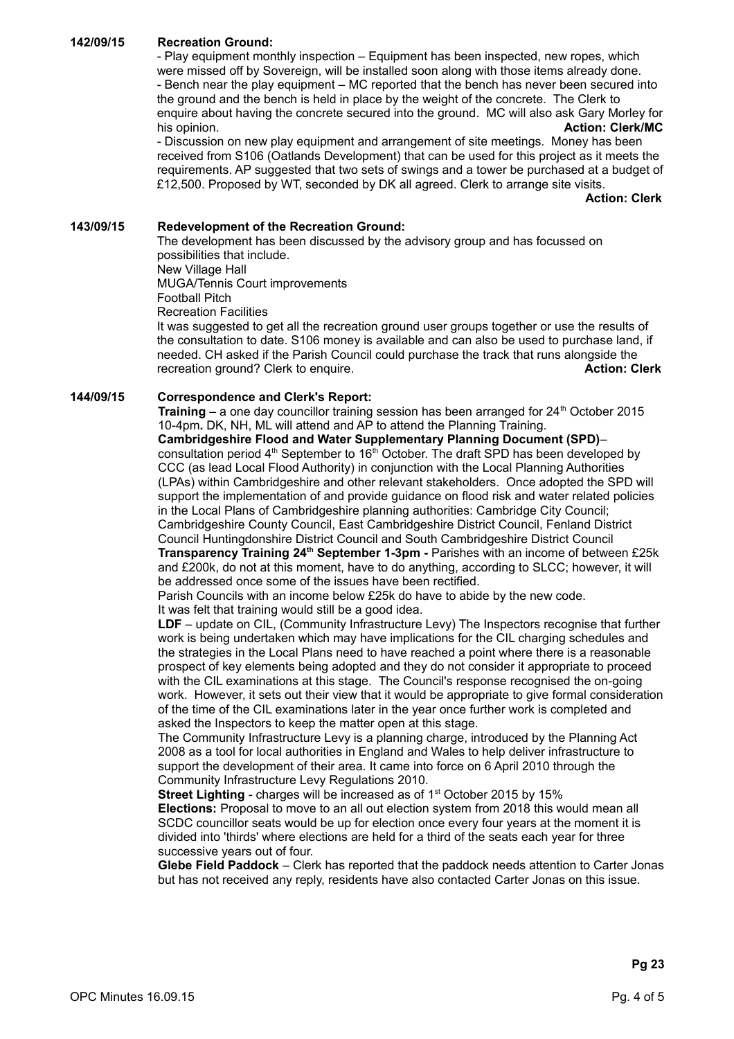# **142/09/15 Recreation Ground:**

- Play equipment monthly inspection – Equipment has been inspected, new ropes, which were missed off by Sovereign, will be installed soon along with those items already done. - Bench near the play equipment – MC reported that the bench has never been secured into the ground and the bench is held in place by the weight of the concrete. The Clerk to enquire about having the concrete secured into the ground. MC will also ask Gary Morley for his opinion. **Action: Clerk/MC**

- Discussion on new play equipment and arrangement of site meetings. Money has been received from S106 (Oatlands Development) that can be used for this project as it meets the requirements. AP suggested that two sets of swings and a tower be purchased at a budget of £12,500. Proposed by WT, seconded by DK all agreed. Clerk to arrange site visits.

**Action: Clerk**

### **143/09/15 Redevelopment of the Recreation Ground:**

The development has been discussed by the advisory group and has focussed on possibilities that include. New Village Hall MUGA/Tennis Court improvements Football Pitch

Recreation Facilities

It was suggested to get all the recreation ground user groups together or use the results of the consultation to date. S106 money is available and can also be used to purchase land, if needed. CH asked if the Parish Council could purchase the track that runs alongside the recreation ground? Clerk to enguire. recreation ground? Clerk to enquire.

### **144/09/15 Correspondence and Clerk's Report:**

**Training** – a one day councillor training session has been arranged for  $24<sup>th</sup>$  October 2015 10-4pm**.** DK, NH, ML will attend and AP to attend the Planning Training.

**Cambridgeshire Flood and Water Supplementary Planning Document (SPD)**– consultation period  $4<sup>th</sup>$  September to 16<sup>th</sup> October. The draft SPD has been developed by CCC (as lead Local Flood Authority) in conjunction with the Local Planning Authorities (LPAs) within Cambridgeshire and other relevant stakeholders. Once adopted the SPD will support the implementation of and provide guidance on flood risk and water related policies in the Local Plans of Cambridgeshire planning authorities: Cambridge City Council; Cambridgeshire County Council, East Cambridgeshire District Council, Fenland District Council Huntingdonshire District Council and South Cambridgeshire District Council

**Transparency Training 24th September 1-3pm -** Parishes with an income of between £25k and £200k, do not at this moment, have to do anything, according to SLCC; however, it will be addressed once some of the issues have been rectified.

Parish Councils with an income below £25k do have to abide by the new code. It was felt that training would still be a good idea.

**LDF** – update on CIL, (Community Infrastructure Levy) The Inspectors recognise that further work is being undertaken which may have implications for the CIL charging schedules and the strategies in the Local Plans need to have reached a point where there is a reasonable prospect of key elements being adopted and they do not consider it appropriate to proceed with the CIL examinations at this stage. The Council's response recognised the on-going work. However, it sets out their view that it would be appropriate to give formal consideration of the time of the CIL examinations later in the year once further work is completed and asked the Inspectors to keep the matter open at this stage.

The Community Infrastructure Levy is a planning charge, introduced by the Planning Act 2008 as a tool for local authorities in England and Wales to help deliver infrastructure to support the development of their area. It came into force on 6 April 2010 through the Community Infrastructure Levy Regulations 2010.

**Street Lighting** - charges will be increased as of 1<sup>st</sup> October 2015 by 15% **Elections:** Proposal to move to an all out election system from 2018 this would mean all SCDC councillor seats would be up for election once every four years at the moment it is divided into 'thirds' where elections are held for a third of the seats each year for three successive years out of four.

**Glebe Field Paddock** – Clerk has reported that the paddock needs attention to Carter Jonas but has not received any reply, residents have also contacted Carter Jonas on this issue.